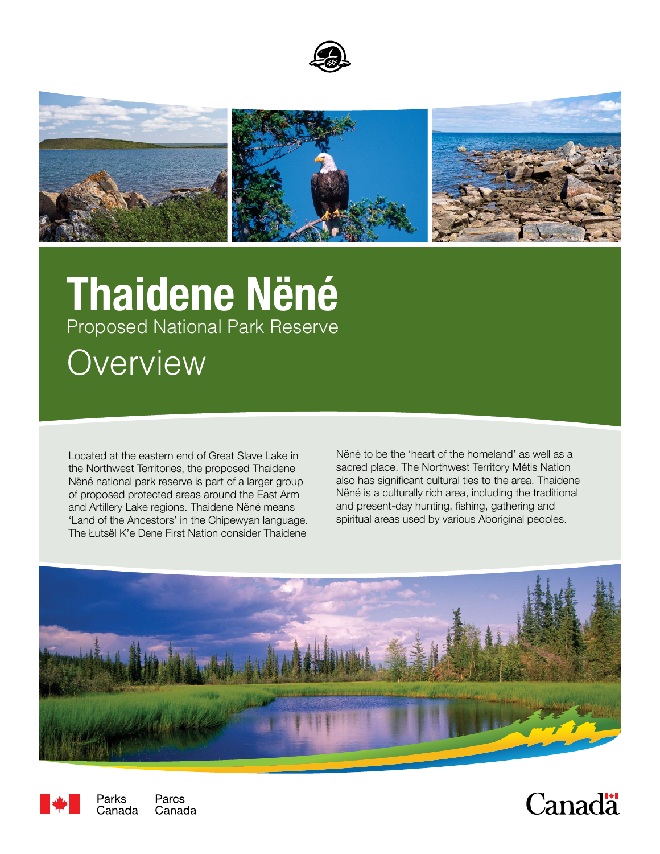



## **Thaidene Nëné** Proposed National Park Reserve **Overview**

Located at the eastern end of Great Slave Lake in the Northwest Territories, the proposed Thaidene Nëné national park reserve is part of a larger group of proposed protected areas around the East Arm and Artillery Lake regions. Thaidene Nëné means 'Land of the Ancestors' in the Chipewyan language. The Łutsël K'e Dene First Nation consider Thaidene

Nëné to be the 'heart of the homeland' as well as a sacred place. The Northwest Territory Métis Nation also has significant cultural ties to the area. Thaidene Nëné is a culturally rich area, including the traditional and present-day hunting, fishing, gathering and spiritual areas used by various Aboriginal peoples.





Parks Parcs Canada Canada